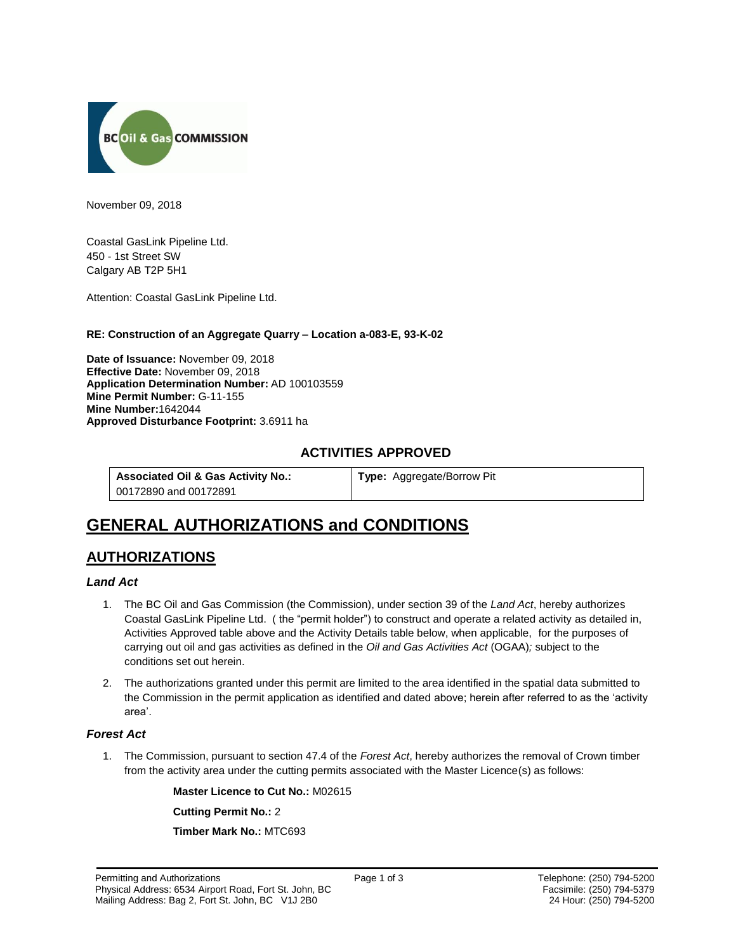

November 09, 2018

Coastal GasLink Pipeline Ltd. 450 - 1st Street SW Calgary AB T2P 5H1

Attention: Coastal GasLink Pipeline Ltd.

# **RE: Construction of an Aggregate Quarry – Location a-083-E, 93-K-02**

**Date of Issuance:** November 09, 2018 **Effective Date:** November 09, 2018 **Application Determination Number:** AD 100103559 **Mine Permit Number:** G-11-155 **Mine Number:**1642044 **Approved Disturbance Footprint:** 3.6911 ha

# **ACTIVITIES APPROVED**

**Associated Oil & Gas Activity No.:** 00172890 and 00172891

**Type:** Aggregate/Borrow Pit

# **GENERAL AUTHORIZATIONS and CONDITIONS**

# **AUTHORIZATIONS**

# *Land Act*

- 1. The BC Oil and Gas Commission (the Commission), under section 39 of the *Land Act*, hereby authorizes Coastal GasLink Pipeline Ltd. ( the "permit holder") to construct and operate a related activity as detailed in, Activities Approved table above and the Activity Details table below, when applicable, for the purposes of carrying out oil and gas activities as defined in the *Oil and Gas Activities Act* (OGAA)*;* subject to the conditions set out herein.
- 2. The authorizations granted under this permit are limited to the area identified in the spatial data submitted to the Commission in the permit application as identified and dated above; herein after referred to as the 'activity area'.

# *Forest Act*

1. The Commission, pursuant to section 47.4 of the *Forest Act*, hereby authorizes the removal of Crown timber from the activity area under the cutting permits associated with the Master Licence(s) as follows:

> **Master Licence to Cut No.:** M02615 **Cutting Permit No.:** 2

**Timber Mark No.:** MTC693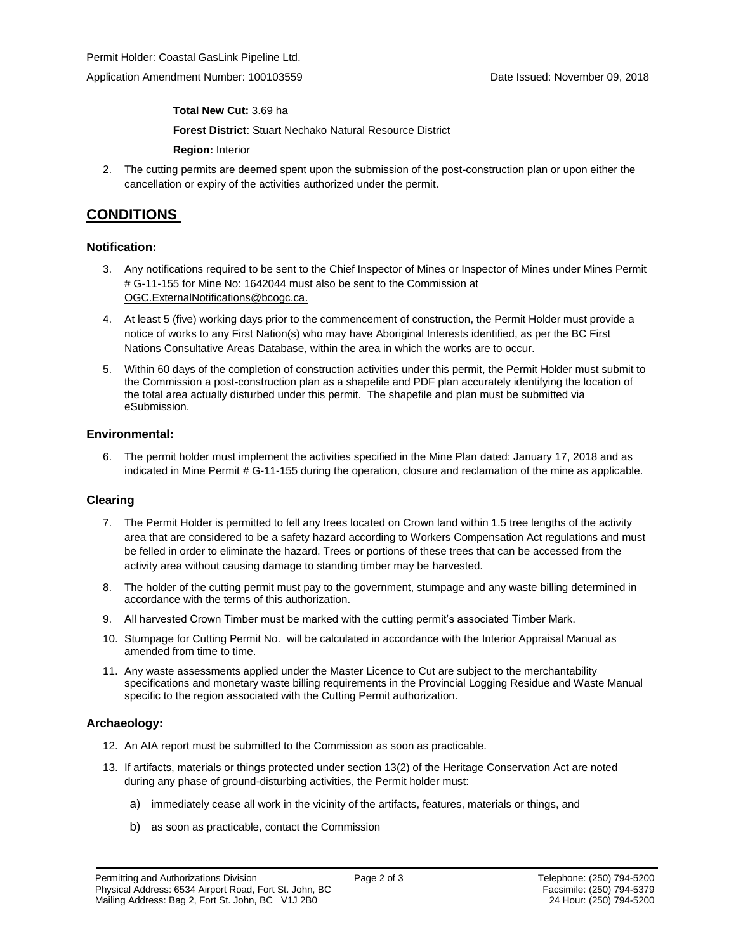**Total New Cut:** 3.69 ha

**[Forest District](https://ams-crd.bcogc.ca/crd/)**: Stuart Nechako Natural Resource District

**Region:** Interior

2. The cutting permits are deemed spent upon the submission of the post-construction plan or upon either the cancellation or expiry of the activities authorized under the permit.

# **CONDITIONS**

# **Notification:**

- 3. Any notifications required to be sent to the Chief Inspector of Mines or Inspector of Mines under Mines Permit # G-11-155 for Mine No: 1642044 must also be sent to the Commission at [OGC.ExternalNotifications@bcogc.ca.](mailto:OGC.ExternalNotifications@bcogc.ca)
- 4. At least 5 (five) working days prior to the commencement of construction, the Permit Holder must provide a notice of works to any First Nation(s) who may have Aboriginal Interests identified, as per the BC First Nations Consultative Areas Database, within the area in which the works are to occur.
- 5. Within 60 days of the completion of construction activities under this permit, the Permit Holder must submit to the Commission a post-construction plan as a shapefile and PDF plan accurately identifying the location of the total area actually disturbed under this permit. The shapefile and plan must be submitted via eSubmission.

## **Environmental:**

6. The permit holder must implement the activities specified in the Mine Plan dated: January 17, 2018 and as indicated in Mine Permit # G-11-155 during the operation, closure and reclamation of the mine as applicable.

# **Clearing**

- 7. The Permit Holder is permitted to fell any trees located on Crown land within 1.5 tree lengths of the activity area that are considered to be a safety hazard according to Workers Compensation Act regulations and must be felled in order to eliminate the hazard. Trees or portions of these trees that can be accessed from the activity area without causing damage to standing timber may be harvested.
- 8. The holder of the cutting permit must pay to the government, stumpage and any waste billing determined in accordance with the terms of this authorization.
- 9. All harvested Crown Timber must be marked with the cutting permit's associated Timber Mark.
- 10. Stumpage for Cutting Permit No. will be calculated in accordance with the Interior Appraisal Manual as amended from time to time.
- 11. Any waste assessments applied under the Master Licence to Cut are subject to the merchantability specifications and monetary waste billing requirements in the Provincial Logging Residue and Waste Manual specific to the region associated with the Cutting Permit authorization.

# **Archaeology:**

- 12. An AIA report must be submitted to the Commission as soon as practicable.
- 13. If artifacts, materials or things protected under section 13(2) of the Heritage Conservation Act are noted during any phase of ground-disturbing activities, the Permit holder must:
	- a) immediately cease all work in the vicinity of the artifacts, features, materials or things, and
	- b) as soon as practicable, contact the Commission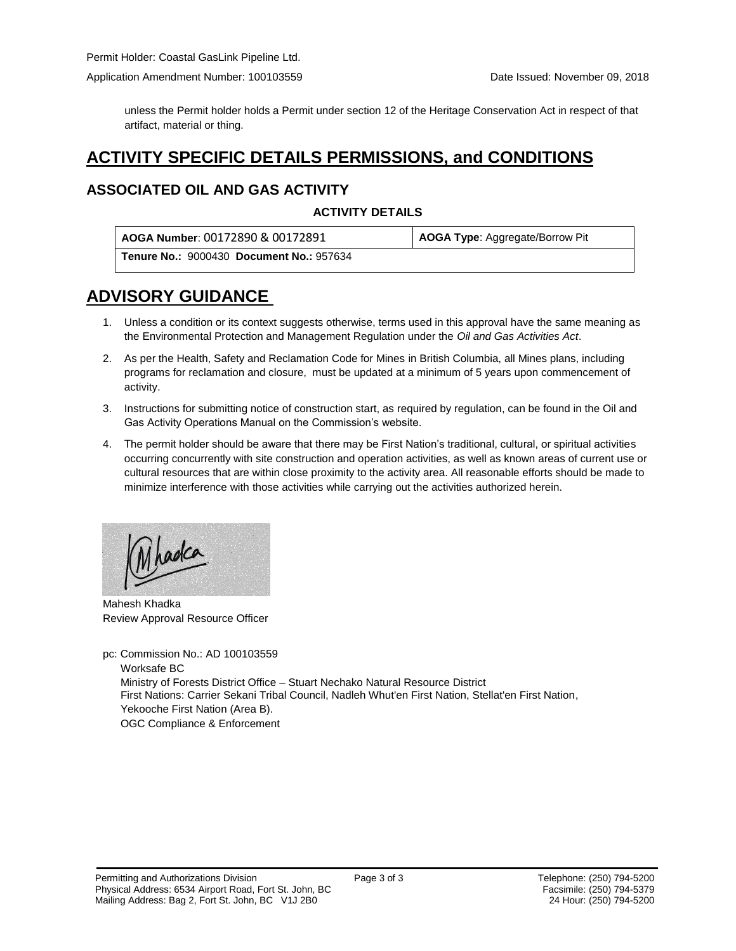unless the Permit holder holds a Permit under section 12 of the Heritage Conservation Act in respect of that artifact, material or thing.

# **ACTIVITY SPECIFIC DETAILS PERMISSIONS, and CONDITIONS**

# **ASSOCIATED OIL AND GAS ACTIVITY**

# **ACTIVITY DETAILS**

| AOGA Number: 00172890 & 00172891                | AOGA Type: Aggregate/Borrow Pit |
|-------------------------------------------------|---------------------------------|
| <b>Tenure No.: 9000430 Document No.: 957634</b> |                                 |

# **ADVISORY GUIDANCE**

- 1. Unless a condition or its context suggests otherwise, terms used in this approval have the same meaning as the Environmental Protection and Management Regulation under the *Oil and Gas Activities Act*.
- 2. As per the Health, Safety and Reclamation Code for Mines in British Columbia, all Mines plans, including programs for reclamation and closure, must be updated at a minimum of 5 years upon commencement of activity.
- 3. Instructions for submitting notice of construction start, as required by regulation, can be found in the Oil and Gas Activity Operations Manual on the Commission's website.
- 4. The permit holder should be aware that there may be First Nation's traditional, cultural, or spiritual activities occurring concurrently with site construction and operation activities, as well as known areas of current use or cultural resources that are within close proximity to the activity area. All reasonable efforts should be made to minimize interference with those activities while carrying out the activities authorized herein.

hadca

Mahesh Khadka Review Approval Resource Officer

pc: Commission No.: AD 100103559 Worksafe BC Ministry of Forests District Office – Stuart Nechako Natural Resource District First Nations: Carrier Sekani Tribal Council, Nadleh Whut'en First Nation, Stellat'en First Nation, Yekooche First Nation (Area B). OGC Compliance & Enforcement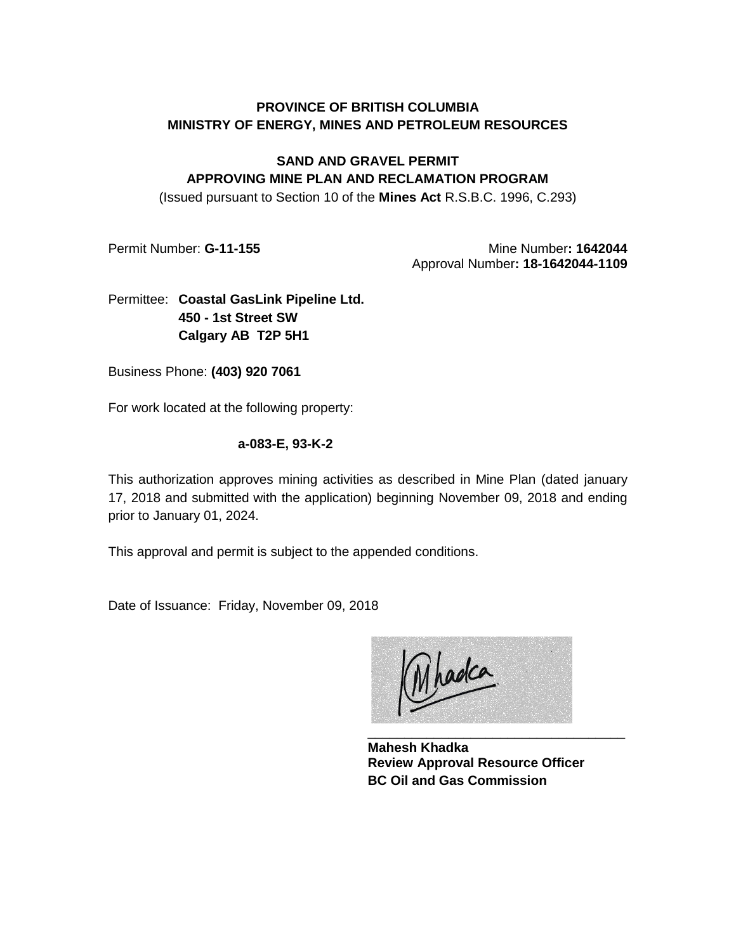# **PROVINCE OF BRITISH COLUMBIA MINISTRY OF ENERGY, MINES AND PETROLEUM RESOURCES**

# **SAND AND GRAVEL PERMIT APPROVING MINE PLAN AND RECLAMATION PROGRAM**

(Issued pursuant to Section 10 of the **Mines Act** R.S.B.C. 1996, C.293)

Permit Number: **G-11-155** Mine Number: 1642044 Approval Number**: 18-1642044-1109**

# Permittee: **Coastal GasLink Pipeline Ltd. 450 - 1st Street SW Calgary AB T2P 5H1**

Business Phone: **(403) 920 7061**

For work located at the following property:

# **a-083-E, 93-K-2**

This authorization approves mining activities as described in Mine Plan (dated january 17, 2018 and submitted with the application) beginning November 09, 2018 and ending prior to January 01, 2024.

This approval and permit is subject to the appended conditions.

Date of Issuance: Friday, November 09, 2018

Mhadca

**Mahesh Khadka Review Approval Resource Officer BC Oil and Gas Commission**

\_\_\_\_\_\_\_\_\_\_\_\_\_\_\_\_\_\_\_\_\_\_\_\_\_\_\_\_\_\_\_\_\_\_\_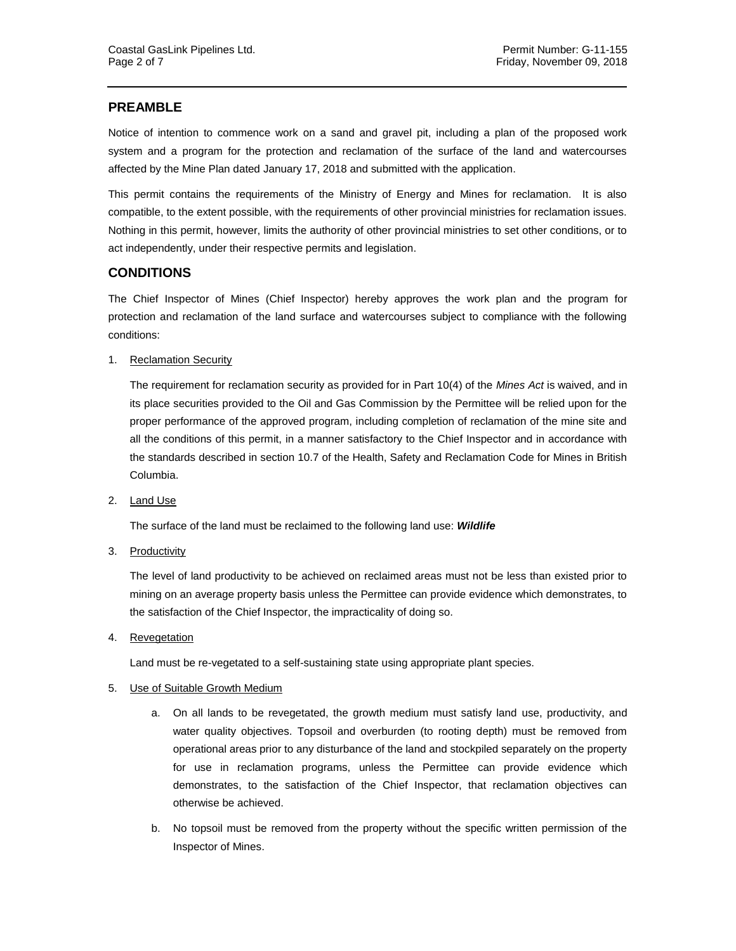# **PREAMBLE**

Notice of intention to commence work on a sand and gravel pit, including a plan of the proposed work system and a program for the protection and reclamation of the surface of the land and watercourses affected by the Mine Plan dated January 17, 2018 and submitted with the application.

This permit contains the requirements of the Ministry of Energy and Mines for reclamation. It is also compatible, to the extent possible, with the requirements of other provincial ministries for reclamation issues. Nothing in this permit, however, limits the authority of other provincial ministries to set other conditions, or to act independently, under their respective permits and legislation.

# **CONDITIONS**

The Chief Inspector of Mines (Chief Inspector) hereby approves the work plan and the program for protection and reclamation of the land surface and watercourses subject to compliance with the following conditions:

1. Reclamation Security

The requirement for reclamation security as provided for in Part 10(4) of the *Mines Act* is waived, and in its place securities provided to the Oil and Gas Commission by the Permittee will be relied upon for the proper performance of the approved program, including completion of reclamation of the mine site and all the conditions of this permit, in a manner satisfactory to the Chief Inspector and in accordance with the standards described in section 10.7 of the Health, Safety and Reclamation Code for Mines in British Columbia.

2. Land Use

The surface of the land must be reclaimed to the following land use: *Wildlife*

3. Productivity

The level of land productivity to be achieved on reclaimed areas must not be less than existed prior to mining on an average property basis unless the Permittee can provide evidence which demonstrates, to the satisfaction of the Chief Inspector, the impracticality of doing so.

4. Revegetation

Land must be re-vegetated to a self-sustaining state using appropriate plant species.

#### 5. Use of Suitable Growth Medium

- a. On all lands to be revegetated, the growth medium must satisfy land use, productivity, and water quality objectives. Topsoil and overburden (to rooting depth) must be removed from operational areas prior to any disturbance of the land and stockpiled separately on the property for use in reclamation programs, unless the Permittee can provide evidence which demonstrates, to the satisfaction of the Chief Inspector, that reclamation objectives can otherwise be achieved.
- b. No topsoil must be removed from the property without the specific written permission of the Inspector of Mines.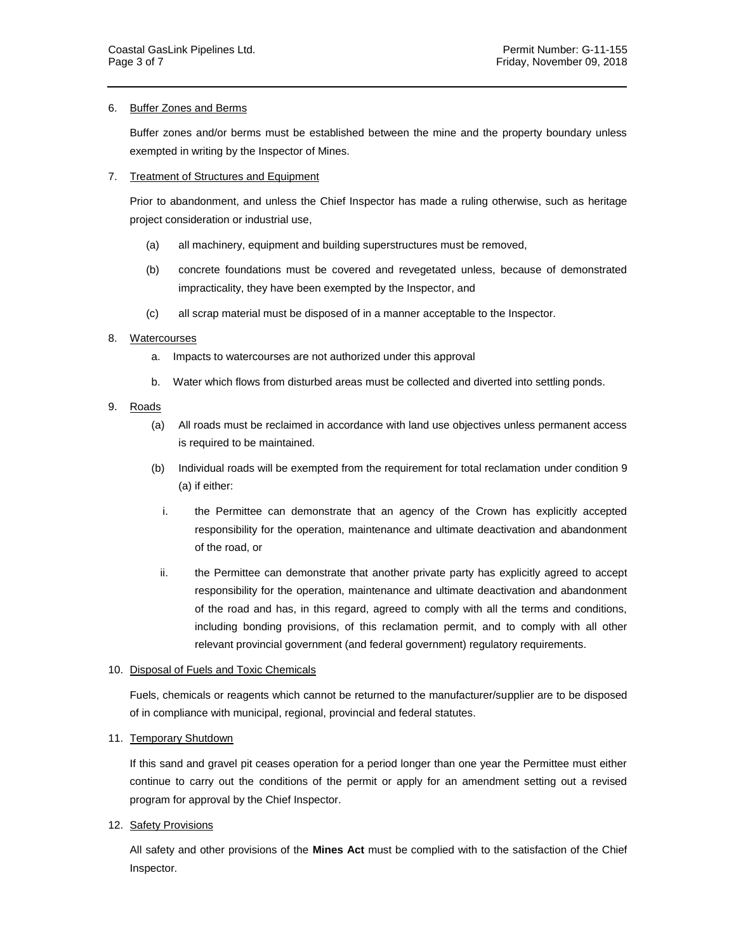## 6. Buffer Zones and Berms

Buffer zones and/or berms must be established between the mine and the property boundary unless exempted in writing by the Inspector of Mines.

## 7. Treatment of Structures and Equipment

Prior to abandonment, and unless the Chief Inspector has made a ruling otherwise, such as heritage project consideration or industrial use,

- (a) all machinery, equipment and building superstructures must be removed,
- (b) concrete foundations must be covered and revegetated unless, because of demonstrated impracticality, they have been exempted by the Inspector, and
- (c) all scrap material must be disposed of in a manner acceptable to the Inspector.

## 8. Watercourses

- a. Impacts to watercourses are not authorized under this approval
- b. Water which flows from disturbed areas must be collected and diverted into settling ponds.

## 9. Roads

- (a) All roads must be reclaimed in accordance with land use objectives unless permanent access is required to be maintained.
- (b) Individual roads will be exempted from the requirement for total reclamation under condition 9 (a) if either:
	- i. the Permittee can demonstrate that an agency of the Crown has explicitly accepted responsibility for the operation, maintenance and ultimate deactivation and abandonment of the road, or
	- ii. the Permittee can demonstrate that another private party has explicitly agreed to accept responsibility for the operation, maintenance and ultimate deactivation and abandonment of the road and has, in this regard, agreed to comply with all the terms and conditions, including bonding provisions, of this reclamation permit, and to comply with all other relevant provincial government (and federal government) regulatory requirements.

#### 10. Disposal of Fuels and Toxic Chemicals

Fuels, chemicals or reagents which cannot be returned to the manufacturer/supplier are to be disposed of in compliance with municipal, regional, provincial and federal statutes.

# 11. Temporary Shutdown

If this sand and gravel pit ceases operation for a period longer than one year the Permittee must either continue to carry out the conditions of the permit or apply for an amendment setting out a revised program for approval by the Chief Inspector.

# 12. Safety Provisions

All safety and other provisions of the **Mines Act** must be complied with to the satisfaction of the Chief Inspector.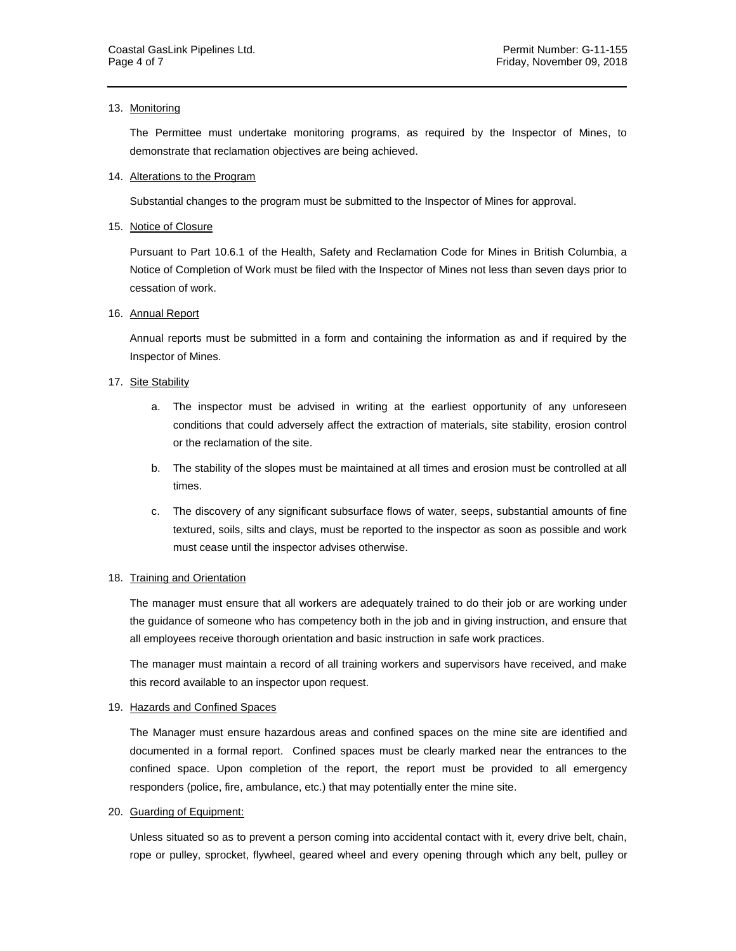#### 13. Monitoring

The Permittee must undertake monitoring programs, as required by the Inspector of Mines, to demonstrate that reclamation objectives are being achieved.

#### 14. Alterations to the Program

Substantial changes to the program must be submitted to the Inspector of Mines for approval.

#### 15. Notice of Closure

Pursuant to Part 10.6.1 of the Health, Safety and Reclamation Code for Mines in British Columbia, a Notice of Completion of Work must be filed with the Inspector of Mines not less than seven days prior to cessation of work.

#### 16. Annual Report

Annual reports must be submitted in a form and containing the information as and if required by the Inspector of Mines.

#### 17. Site Stability

- a. The inspector must be advised in writing at the earliest opportunity of any unforeseen conditions that could adversely affect the extraction of materials, site stability, erosion control or the reclamation of the site.
- b. The stability of the slopes must be maintained at all times and erosion must be controlled at all times.
- c. The discovery of any significant subsurface flows of water, seeps, substantial amounts of fine textured, soils, silts and clays, must be reported to the inspector as soon as possible and work must cease until the inspector advises otherwise.

#### 18. Training and Orientation

The manager must ensure that all workers are adequately trained to do their job or are working under the guidance of someone who has competency both in the job and in giving instruction, and ensure that all employees receive thorough orientation and basic instruction in safe work practices.

The manager must maintain a record of all training workers and supervisors have received, and make this record available to an inspector upon request.

#### 19. Hazards and Confined Spaces

The Manager must ensure hazardous areas and confined spaces on the mine site are identified and documented in a formal report. Confined spaces must be clearly marked near the entrances to the confined space. Upon completion of the report, the report must be provided to all emergency responders (police, fire, ambulance, etc.) that may potentially enter the mine site.

#### 20. Guarding of Equipment:

Unless situated so as to prevent a person coming into accidental contact with it, every drive belt, chain, rope or pulley, sprocket, flywheel, geared wheel and every opening through which any belt, pulley or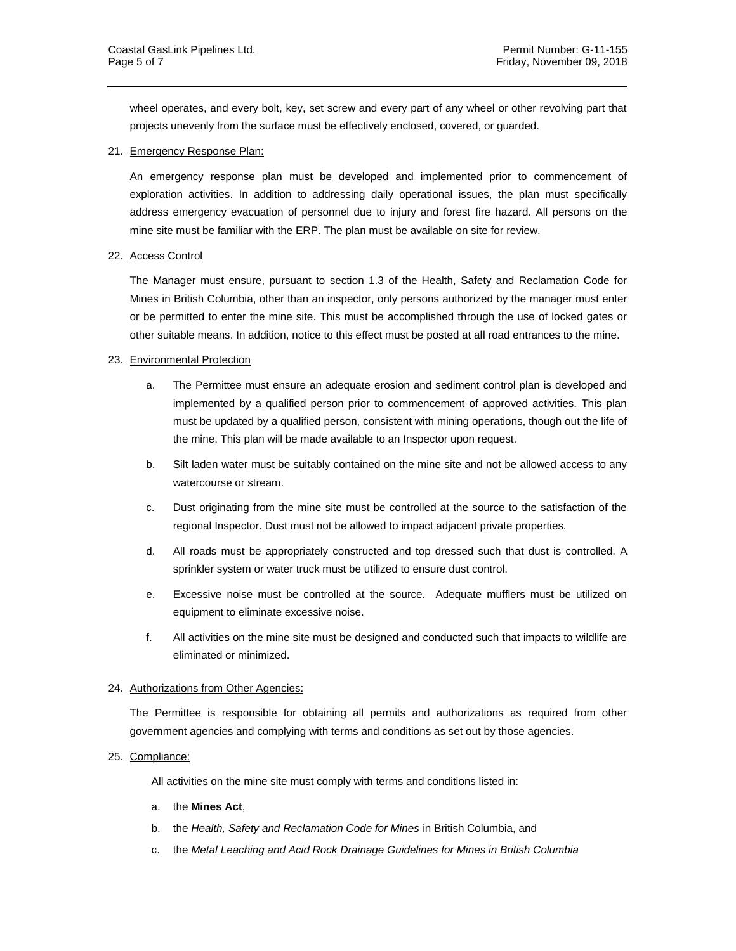wheel operates, and every bolt, key, set screw and every part of any wheel or other revolving part that projects unevenly from the surface must be effectively enclosed, covered, or guarded.

## 21. Emergency Response Plan:

An emergency response plan must be developed and implemented prior to commencement of exploration activities. In addition to addressing daily operational issues, the plan must specifically address emergency evacuation of personnel due to injury and forest fire hazard. All persons on the mine site must be familiar with the ERP. The plan must be available on site for review.

## 22. Access Control

The Manager must ensure, pursuant to section 1.3 of the Health, Safety and Reclamation Code for Mines in British Columbia, other than an inspector, only persons authorized by the manager must enter or be permitted to enter the mine site. This must be accomplished through the use of locked gates or other suitable means. In addition, notice to this effect must be posted at all road entrances to the mine.

## 23. Environmental Protection

- a. The Permittee must ensure an adequate erosion and sediment control plan is developed and implemented by a qualified person prior to commencement of approved activities. This plan must be updated by a qualified person, consistent with mining operations, though out the life of the mine. This plan will be made available to an Inspector upon request.
- b. Silt laden water must be suitably contained on the mine site and not be allowed access to any watercourse or stream.
- c. Dust originating from the mine site must be controlled at the source to the satisfaction of the regional Inspector. Dust must not be allowed to impact adjacent private properties.
- d. All roads must be appropriately constructed and top dressed such that dust is controlled. A sprinkler system or water truck must be utilized to ensure dust control.
- e. Excessive noise must be controlled at the source. Adequate mufflers must be utilized on equipment to eliminate excessive noise.
- f. All activities on the mine site must be designed and conducted such that impacts to wildlife are eliminated or minimized.

#### 24. Authorizations from Other Agencies:

The Permittee is responsible for obtaining all permits and authorizations as required from other government agencies and complying with terms and conditions as set out by those agencies.

#### 25. Compliance:

All activities on the mine site must comply with terms and conditions listed in:

- a. the **Mines Act**,
- b. the *Health, Safety and Reclamation Code for Mines* in British Columbia, and
- c. the *Metal Leaching and Acid Rock Drainage Guidelines for Mines in British Columbia*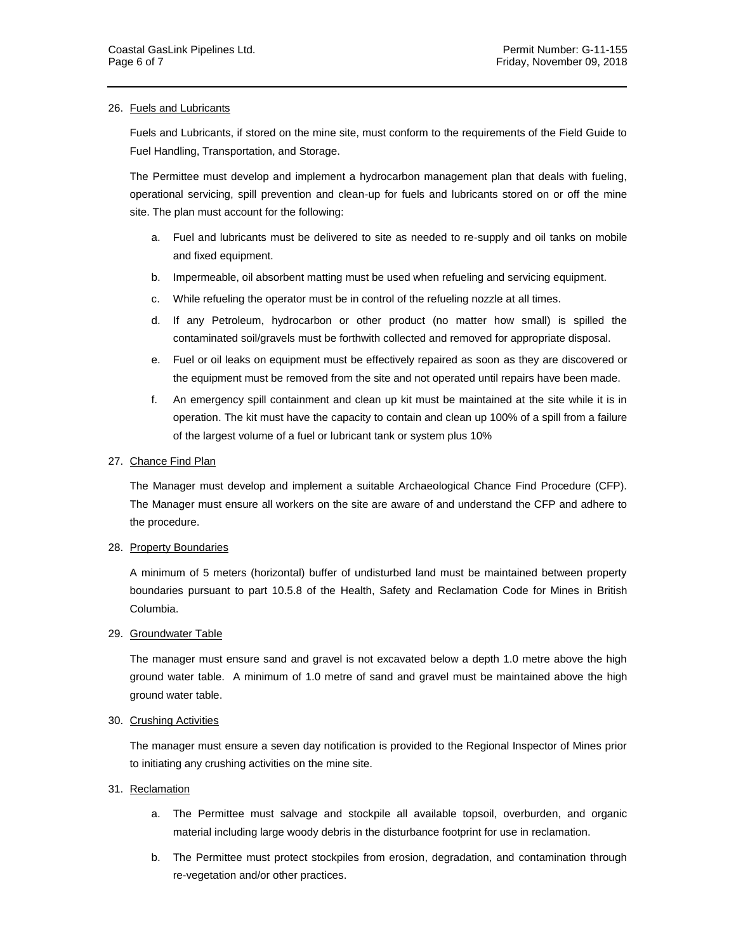#### 26. Fuels and Lubricants

Fuels and Lubricants, if stored on the mine site, must conform to the requirements of the Field Guide to Fuel Handling, Transportation, and Storage.

The Permittee must develop and implement a hydrocarbon management plan that deals with fueling, operational servicing, spill prevention and clean-up for fuels and lubricants stored on or off the mine site. The plan must account for the following:

- a. Fuel and lubricants must be delivered to site as needed to re-supply and oil tanks on mobile and fixed equipment.
- b. Impermeable, oil absorbent matting must be used when refueling and servicing equipment.
- c. While refueling the operator must be in control of the refueling nozzle at all times.
- d. If any Petroleum, hydrocarbon or other product (no matter how small) is spilled the contaminated soil/gravels must be forthwith collected and removed for appropriate disposal.
- e. Fuel or oil leaks on equipment must be effectively repaired as soon as they are discovered or the equipment must be removed from the site and not operated until repairs have been made.
- f. An emergency spill containment and clean up kit must be maintained at the site while it is in operation. The kit must have the capacity to contain and clean up 100% of a spill from a failure of the largest volume of a fuel or lubricant tank or system plus 10%

## 27. Chance Find Plan

The Manager must develop and implement a suitable Archaeological Chance Find Procedure (CFP). The Manager must ensure all workers on the site are aware of and understand the CFP and adhere to the procedure.

## 28. Property Boundaries

A minimum of 5 meters (horizontal) buffer of undisturbed land must be maintained between property boundaries pursuant to part 10.5.8 of the Health, Safety and Reclamation Code for Mines in British Columbia.

#### 29. Groundwater Table

The manager must ensure sand and gravel is not excavated below a depth 1.0 metre above the high ground water table. A minimum of 1.0 metre of sand and gravel must be maintained above the high ground water table.

#### 30. Crushing Activities

The manager must ensure a seven day notification is provided to the Regional Inspector of Mines prior to initiating any crushing activities on the mine site.

# 31. Reclamation

- a. The Permittee must salvage and stockpile all available topsoil, overburden, and organic material including large woody debris in the disturbance footprint for use in reclamation.
- b. The Permittee must protect stockpiles from erosion, degradation, and contamination through re-vegetation and/or other practices.